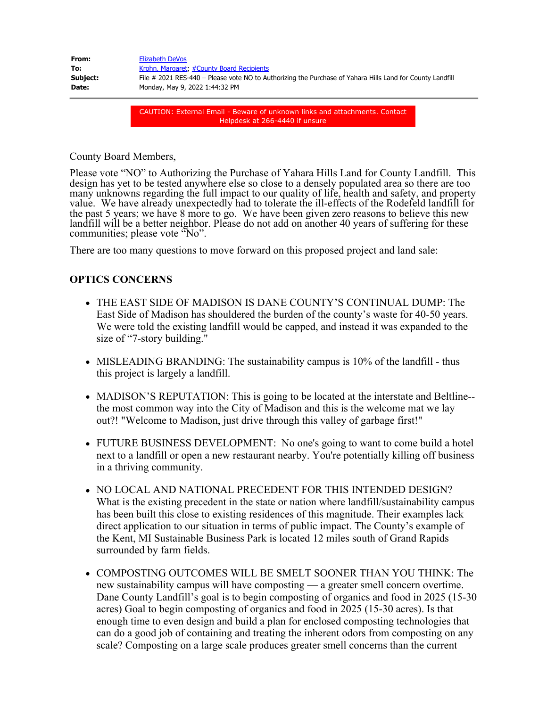| From:    | Elizabeth DeVos                                                                                           |
|----------|-----------------------------------------------------------------------------------------------------------|
| To:      | Krohn, Margaret, #County Board Recipients                                                                 |
| Subject: | File # 2021 RES-440 – Please vote NO to Authorizing the Purchase of Yahara Hills Land for County Landfill |
| Date:    | Monday, May 9, 2022 1:44:32 PM                                                                            |
|          |                                                                                                           |

CAUTION: External Email - Beware of unknown links and attachments. Contact Helpdesk at 266-4440 if unsure

County Board Members,

Please vote "NO" to Authorizing the Purchase of Yahara Hills Land for County Landfill. This design has yet to be tested anywhere else so close to a densely populated area so there are too many unknowns regarding the full impact to our quality of life, health and safety, and property value. We have already unexpectedly had to tolerate the ill-effects of the Rodefeld landfill for the past 5 years; we have 8 more to go. We have been given zero reasons to believe this new landfill will be a better neighbor. Please do not add on another 40 years of suffering for these communities; please vote "No".

There are too many questions to move forward on this proposed project and land sale:

#### **OPTICS CONCERNS**

- THE EAST SIDE OF MADISON IS DANE COUNTY'S CONTINUAL DUMP: The East Side of Madison has shouldered the burden of the county's waste for 40-50 years. We were told the existing landfill would be capped, and instead it was expanded to the size of "7-story building."
- MISLEADING BRANDING: The sustainability campus is 10% of the landfill thus this project is largely a landfill.
- MADISON'S REPUTATION: This is going to be located at the interstate and Beltline- the most common way into the City of Madison and this is the welcome mat we lay out?! "Welcome to Madison, just drive through this valley of garbage first!"
- FUTURE BUSINESS DEVELOPMENT: No one's going to want to come build a hotel next to a landfill or open a new restaurant nearby. You're potentially killing off business in a thriving community.
- NO LOCAL AND NATIONAL PRECEDENT FOR THIS INTENDED DESIGN? What is the existing precedent in the state or nation where landfill/sustainability campus has been built this close to existing residences of this magnitude. Their examples lack direct application to our situation in terms of public impact. The County's example of the Kent, MI Sustainable Business Park is located 12 miles south of Grand Rapids surrounded by farm fields.
- COMPOSTING OUTCOMES WILL BE SMELT SOONER THAN YOU THINK: The new sustainability campus will have composting — a greater smell concern overtime. Dane County Landfill's goal is to begin composting of organics and food in 2025 (15-30 acres) Goal to begin composting of organics and food in 2025 (15-30 acres). Is that enough time to even design and build a plan for enclosed composting technologies that can do a good job of containing and treating the inherent odors from composting on any scale? Composting on a large scale produces greater smell concerns than the current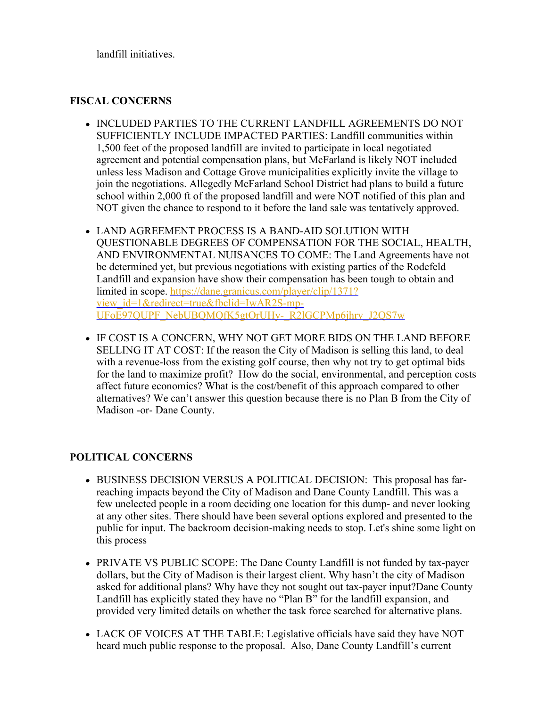landfill initiatives.

### **FISCAL CONCERNS**

- INCLUDED PARTIES TO THE CURRENT LANDFILL AGREEMENTS DO NOT SUFFICIENTLY INCLUDE IMPACTED PARTIES: Landfill communities within 1,500 feet of the proposed landfill are invited to participate in local negotiated agreement and potential compensation plans, but McFarland is likely NOT included unless less Madison and Cottage Grove municipalities explicitly invite the village to join the negotiations. Allegedly McFarland School District had plans to build a future school within 2,000 ft of the proposed landfill and were NOT notified of this plan and NOT given the chance to respond to it before the land sale was tentatively approved.
- LAND AGREEMENT PROCESS IS A BAND-AID SOLUTION WITH QUESTIONABLE DEGREES OF COMPENSATION FOR THE SOCIAL, HEALTH, AND ENVIRONMENTAL NUISANCES TO COME: The Land Agreements have not be determined yet, but previous negotiations with existing parties of the Rodefeld Landfill and expansion have show their compensation has been tough to obtain and limited in scope. [https://dane.granicus.com/player/clip/1371?](https://dane.granicus.com/player/clip/1371?view_id=1&redirect=true&fbclid=IwAR2S-mp-UFoE97QUPF_NebUBQMQfK5gtOrUHy-_R2lGCPMp6jhrv_J2QS7w) [view\\_id=1&redirect=true&fbclid=IwAR2S-mp-](https://dane.granicus.com/player/clip/1371?view_id=1&redirect=true&fbclid=IwAR2S-mp-UFoE97QUPF_NebUBQMQfK5gtOrUHy-_R2lGCPMp6jhrv_J2QS7w)UFoE97OUPF\_NebUBOMOfK5gtOrUHy-\_R2lGCPMp6jhrv\_J2OS7w
- IF COST IS A CONCERN, WHY NOT GET MORE BIDS ON THE LAND BEFORE SELLING IT AT COST: If the reason the City of Madison is selling this land, to deal with a revenue-loss from the existing golf course, then why not try to get optimal bids for the land to maximize profit? How do the social, environmental, and perception costs affect future economics? What is the cost/benefit of this approach compared to other alternatives? We can't answer this question because there is no Plan B from the City of Madison -or- Dane County.

# **POLITICAL CONCERNS**

- BUSINESS DECISION VERSUS A POLITICAL DECISION: This proposal has farreaching impacts beyond the City of Madison and Dane County Landfill. This was a few unelected people in a room deciding one location for this dump- and never looking at any other sites. There should have been several options explored and presented to the public for input. The backroom decision-making needs to stop. Let's shine some light on this process
- PRIVATE VS PUBLIC SCOPE: The Dane County Landfill is not funded by tax-payer dollars, but the City of Madison is their largest client. Why hasn't the city of Madison asked for additional plans? Why have they not sought out tax-payer input?Dane County Landfill has explicitly stated they have no "Plan B" for the landfill expansion, and provided very limited details on whether the task force searched for alternative plans.
- LACK OF VOICES AT THE TABLE: Legislative officials have said they have NOT heard much public response to the proposal. Also, Dane County Landfill's current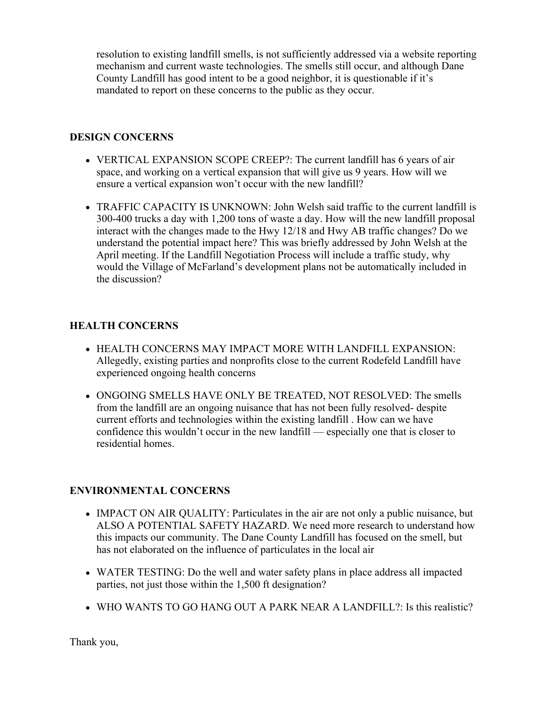resolution to existing landfill smells, is not sufficiently addressed via a website reporting mechanism and current waste technologies. The smells still occur, and although Dane County Landfill has good intent to be a good neighbor, it is questionable if it's mandated to report on these concerns to the public as they occur.

## **DESIGN CONCERNS**

- VERTICAL EXPANSION SCOPE CREEP?: The current landfill has 6 years of air space, and working on a vertical expansion that will give us 9 years. How will we ensure a vertical expansion won't occur with the new landfill?
- TRAFFIC CAPACITY IS UNKNOWN: John Welsh said traffic to the current landfill is 300-400 trucks a day with 1,200 tons of waste a day. How will the new landfill proposal interact with the changes made to the Hwy 12/18 and Hwy AB traffic changes? Do we understand the potential impact here? This was briefly addressed by John Welsh at the April meeting. If the Landfill Negotiation Process will include a traffic study, why would the Village of McFarland's development plans not be automatically included in the discussion?

# **HEALTH CONCERNS**

- HEALTH CONCERNS MAY IMPACT MORE WITH LANDFILL EXPANSION: Allegedly, existing parties and nonprofits close to the current Rodefeld Landfill have experienced ongoing health concerns
- ONGOING SMELLS HAVE ONLY BE TREATED, NOT RESOLVED: The smells from the landfill are an ongoing nuisance that has not been fully resolved- despite current efforts and technologies within the existing landfill . How can we have confidence this wouldn't occur in the new landfill — especially one that is closer to residential homes.

# **ENVIRONMENTAL CONCERNS**

- IMPACT ON AIR QUALITY: Particulates in the air are not only a public nuisance, but ALSO A POTENTIAL SAFETY HAZARD. We need more research to understand how this impacts our community. The Dane County Landfill has focused on the smell, but has not elaborated on the influence of particulates in the local air
- WATER TESTING: Do the well and water safety plans in place address all impacted parties, not just those within the 1,500 ft designation?
- WHO WANTS TO GO HANG OUT A PARK NEAR A LANDFILL?: Is this realistic?

Thank you,